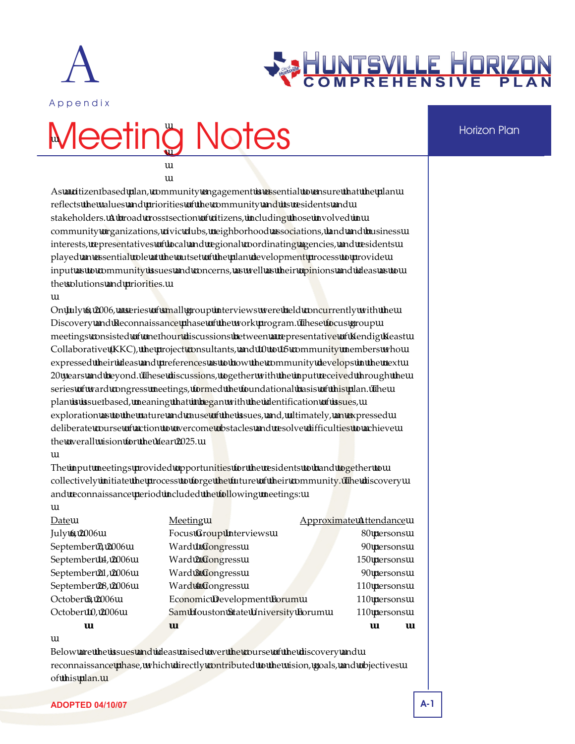



# Meeting Notes **Horizon Plan**

As a citizen based plan, community engagement is essential to ensure that the plan reflects the values and priorities of the community and its residents and stakeholders. A broad cross section of citizens, including those involved in community organizations, civic clubs, neighborhood associations, land and business interests, representatives of local and regional coordinating agencies, and residents played an essential role at the outset of the plan development process to provide input as to community issues and concerns, as well as their opinions and ideas as to the solutions and priorities.

On July 6, 2006, a series of small group interviews were held concurrently with the Discovery and Reconnaissance phase of the work program. These focus group meetings consisted of one hour discussions between a representative of Kendig Keast Collaborative (KKC), the project consultants, and 10 to 15 community members who expressed their ideas and preferences as to how the community develops in the next 20 years and beyond. These discussions, together with the input received through the series of ward congress meetings, formed the foundational basis of this plan. The plan is issue based, meaning that it began with the identification of issues, exploration as to the nature and cause of the issues, and, ultimately, an expressed deliberate course of action to overcome obstacles and resolve difficulties to achieve the overall vision for the Year 2025.

The input meetings provided opportunities for the residents to band together to collectively initiate the process to forge the future of their community. The discovery and reconnaissance period included the following meetings:

| Date               | Meeting                            | <b>Approximate Attendance</b> |
|--------------------|------------------------------------|-------------------------------|
| July 6, 2006       | <b>Focus Group Interviews</b>      | 80 persons                    |
| September 7, 2006  | Ward 1 Congress                    | 90 persons                    |
| September 14, 2006 | <b>Ward 2 Congress</b>             | 150 persons                   |
| September 21, 2006 | <b>Ward 3 Congress</b>             | 90 persons                    |
| September 28, 2006 | <b>Ward 4 Congress</b>             | 110 persons                   |
| October 5, 2006    | <b>Economic Development Forum</b>  | 110 persons                   |
| October 10, 2006   | Sam Houston State University Forum | 110 persons                   |
| <b>TOTAL</b>       |                                    | 740 persons                   |

Below are the issues and ideas raised over the course of the discovery and reconnaissance phase, which directly contributed to the vision, goals, and objectives of this plan.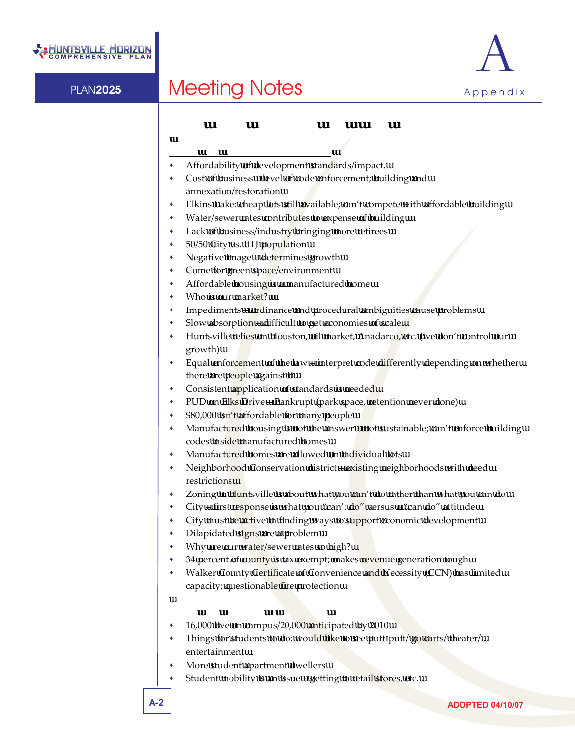



### **Focus Group Interviews: July 6, 2006**

### **Group One (Landowners/Developers)**

- Affordability of development standards/impact.
- Cost of business level of code enforcement; building and annexation/restoration
- Elkins Lake: cheap lots still available; can't compete with affordable building
- Water/sewer rates contributes to expense of building
- Lack of business/industry bringing more retirees
- 50/50 City vs. ETJ population
- Negative image determines growth
- Come for green space/environment
- Affordable housing is a manufactured home
- Who is our market?
- Impediments ordinance and procedural ambiguities cause problems
- Slow absorption difficult to get economies of scale
- Huntsville relies on Houston, oil market, Anadarco, etc. (we don't control our growth)
- Equal enforcement of the law interpret code differently depending on whether there are people against it
- Consistent application of standards is needed
- PUD on Elks Drive Bankrupt (park space, retention never done)
- \$80,000 isn't affordable for many people
- Manufactured housing is not the answer not sustainable; can't enforce building codes inside manufactured homes
- Manufactured homes are allowed on individual lots
- Neighborhood Conservation district existing neighborhoods with deed restrictions
- Zoning in Huntsville is about what you can't do rather than what you can do
- City first response is what you "can't do" versus a "can do" attitude
- City must be active in finding ways to support economic development
- Dilapidated signs are a problem
- Why are our water/sewer rates so high?
- 34 percent of county is tax exempt; makes revenue generation tough
- Walker County Certificate of Convenience and Necessity (CCN) has limited capacity; questionable fire protection

### **Group Two (Chamber of Commerce)**

- 16,000 live on campus/20,000 anticipated by 2010
- Things for students to do: would like to see putt putt/ go carts/ theater/ entertainment
- More student apartment dwellers
- Student mobility is an issue getting to retail stores, etc.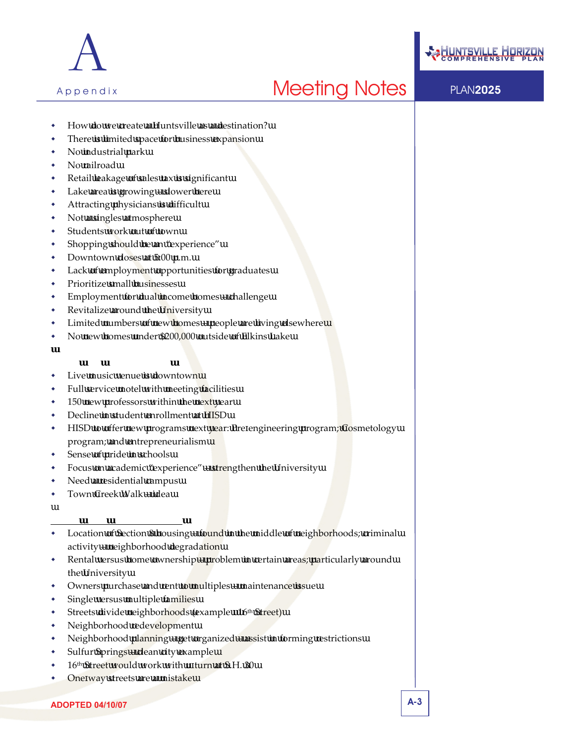



- How do we create a Huntsville as a destination?
- There is limited space for business expansion
- No industrial park
- No railroad
- Retail leakage of sales tax is significant
- Lake area is growing slower here
- Attracting physicians is difficult
- Not a singles atmosphere
- Students work out of town
- Shopping should be an "experience"
- Downtown closes at 5:00 p.m.
- Lack of employment opportunities for graduates
- Prioritize small businesses
- Employment for dual income homes challenge
- Revitalize around the University
- Limited numbers of new homes people are living elsewhere
- No new homes under \$200,000 outside of Elkins Lake

#### **Group Two (Opportunities)**

- Live music venue is downtown
- Full service motel with meeting facilities
- 150 new professors within the next year
- Decline in student enrollment at HISD
- HISD to offer new programs next year: Pre engineering program; Cosmetology program; and entrepreneurialism
- Sense of pride in schools
- Focus on academic "experience" strengthen the University
- Need a residential campus
- Town Creek Walk idea

#### **Group Three (Neighborhoods)**

- Location of Section 8 housing found in the middle of neighborhoods; criminal activity – neighborhood degradation
- Rental versus home ownership problem in certain areas; particularly around the University
- Owners purchase and rent to multiples maintenance issue
- Single versus multiple families
- Streets divide neighborhoods (example 16<sup>th</sup> Street)
- Neighborhood redevelopment
- Neighborhood planning get organized assist in forming restrictions
- Sulfur Springs clean city example
- 16<sup>th</sup> Street would work with u turn at S.H. 30
- One way streets are a mistake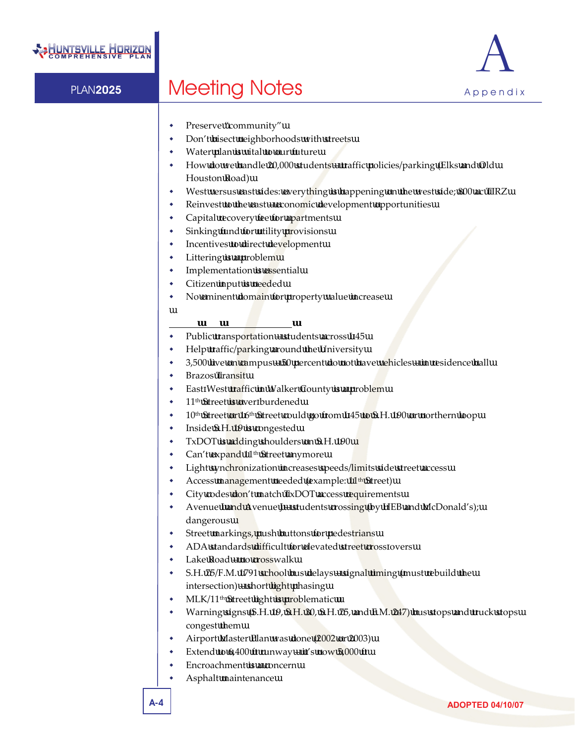

- Preserve "community"
- Don't bisect neighborhoods with streets
- Water plan is vital to our future
- How do we handle 20,000 students traffic policies/parking (Elks and Old Houston Road)
- West versus east sides: everything is happening on the west side; 800 ac TIRZ
- Reinvest to the east economic development opportunities
- Capital recovery fee for apartments
- Sinking fund for utility provisions
- Incentives to direct development
- Littering is a problem
- Implementation is essential
- Citizen input is needed
- No eminent domain for property value increase

### **Group Four (Transportation)**

- Public transportation students across I 45
- Help traffic/parking around the University
- 3,500 live on campus 50 percent do not have vehicles in residence hall
- Brazos Transit
- East West traffic in Walker County is a problem
- 11th Street is over burdened
- 10<sup>th</sup> Street or 16<sup>th</sup> Street could go from I 45 to S.H. 190 or northern loop
- Inside S.H. 19 is congested
- TxDOT is adding shoulders on S.H. 190
- Can't expand 11<sup>th</sup> Street anymore
- Light synchronization increases speeds/limits side street access
- Access management needed (example: 11<sup>th</sup> Street)
- City codes don't match TxDOT access requirements
- Avenue I and Avenue J students crossing (by HEB and McDonald's); dangerous
- Street markings, push buttons for pedestrians
- ADA standards difficult for elevated street cross overs
- Lake Road no crosswalk
- S.H. 75/F.M. 1791 school bus delays signal timing (must rebuild the intersection) – short light phasing
- MLK/11<sup>th</sup> Street light is problematic
- Warning signs (S.H. 19, S.H. 30, S.H. 75, and F.M. 247) bus stops and truck stops congest them
- Airport Master Plan was done (2002 or 2003)
- Extend to  $6,400$  ft runway it's now  $5,000$  ft
- Encroachment is a concern
- Asphalt maintenance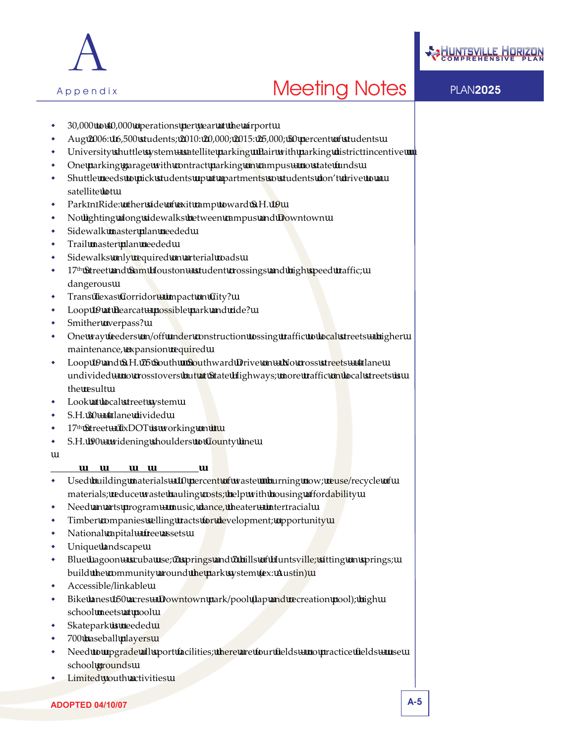



- 30,000 to 40,000 operations per year at the airport
- Aug 2006: 16,500 students; 2010: 20,000; 2015: 25,000; 50 percent of students
- University shuttle system satellite parking Pair with parking district incentive
- One parking garage with contract parking on campus no state funds
- Shuttle needs to pick students up at apartments so students don't drive to a satellite lot
- Park n Ride: other side of exit ramp toward S.H. 19
- No lighting along sidewalks between campus and Downtown
- Sidewalk master plan needed
- Trail master plan needed
- Sidewalks only required on arterial roads
- $17<sup>th</sup>$  Street and Sam Houston student crossings and high speed traffic; dangerous
- Trans Texas Corridor impact on City?
- Loop 19 at Bearcat possible park and ride?
- Smither overpass?
- One way feeders on/off under construction tossing traffic to local streets higher maintenance, expansion required
- Loop 19 and S.H. 75 South Southward Drive on No cross streets 4 lane undivided – no cross overs but at State Highways; more traffic on local streets is the result
- Look at local street system
- S.H. 30 4 lane divided
- 17<sup>th</sup> Street TxDOT is working on it
- S.H. I90 widening shoulders to County line

### **Group Five (Parks and Recreation)**

- Used building materials  $-10$  percent of waste burning now; reuse/recycle of materials; reduce waste hauling costs; help with housing affordability
- Need an arts program music, dance, theater inter racial
- Timber companies selling tracts for development; opportunity
- National capital free assets
- Unique landscape
- Blue Lagoon scuba use; 7 springs and 7 hills of Huntsville; sitting on springs; build the community around the park system (ex: Austin)
- Accessible/linkable
- Bike lanes 150 acres Downtown park/pool (lap and recreation pool); high school meets at pool
- Skatepark is needed
- 700 baseball players
- Need to upgrade all sport facilities; there are four fields no practice fields use school grounds
- Limited youth activities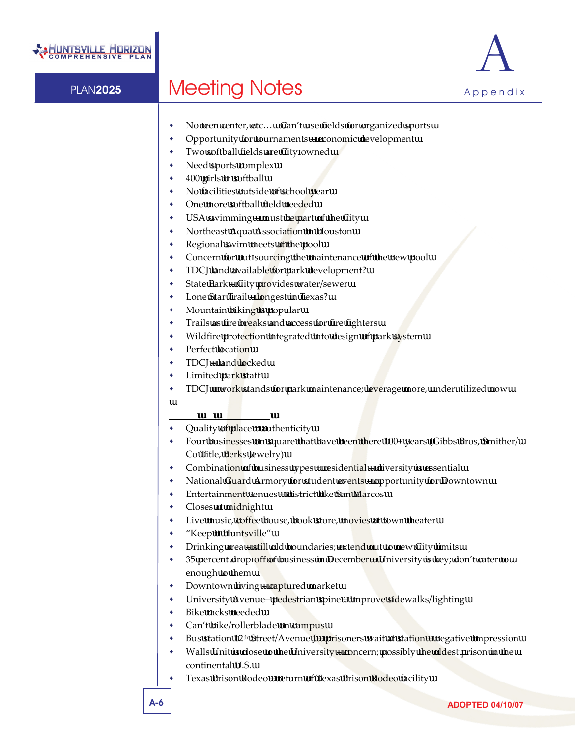

- No teen center, etc... Can't use fields for organized sports
- Opportunity for tournaments economic development
- Two softball fields are City owned
- Need sports complex
- 400 girls in softball
- No facilities outside of school year
- One more softball field needed
- USA swimming must be part of the City
- Northeast Aqua Association in Houston
- Regional swim meets at the pool
- Concern for out sourcing the maintenance of the new pool
- TDCJ land available for park development?
- State Park City provides water/sewer
- Lone Star Trail longest in Texas?
- Mountain biking is popular
- Trails as fire breaks and access for fire fighters
- Wildfire protection integrated into design of park system
- Perfect location
- TDCJ = land locked
- Limited park staff
- TDCJ work stands for park maintenance; leverage more, underutilized now

### **Group Six (Downtown)**

- Quality of place = authenticity
- Four businesses on square that have been there 100+ years (Gibbs Bros, Smither/ Co Title, Berks Jewelry)
- Combination of business types + residential diversity is essential
- National Guard Armory for student events opportunity for Downtown
- Entertainment venues district like San Marcos
- Closes at midnight
- Live music, coffee house, book store, movies at town theater
- "Keep it Huntsville"
- Drinking area still old boundaries; extend out to new City limits
- 35 percent drop off of business in December University is key; don't cater to enough to them
- Downtown living captured market
- University Avenue– pedestrian spine improve sidewalks/lighting
- Bike racks needed
- Can't bike/rollerblade on campus
- Bus station 12<sup>th</sup> Street/Avenue J prisoners wait at station negative impression
- Walls Unit is close to the University concern; possibly the oldest prison in the continental U.S.
- Texas Prison Rodeo return of Texas Prison Rodeo facility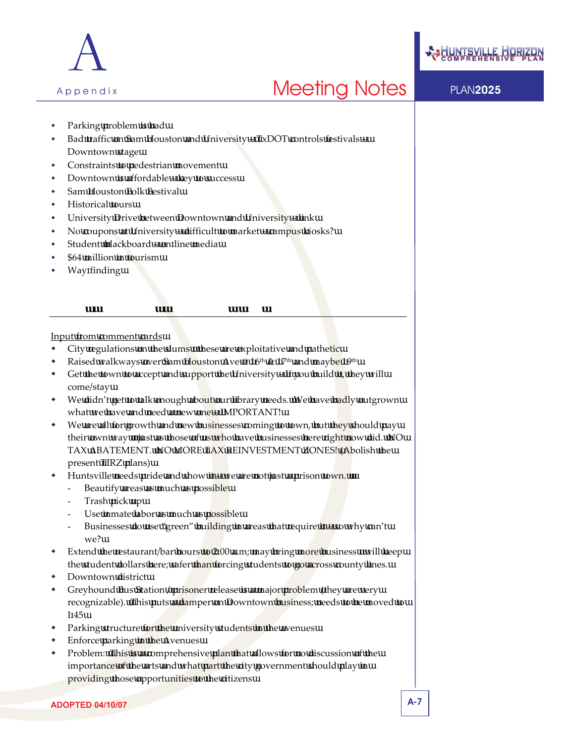



- Parking problem is bad
- Bad traffic on Sam Houston and University TxDOT controls festivals Downtown stage
- Constraints to pedestrian movement
- Downtown is affordable key to success
- Sam Houston Folk Festival
- Historical tours
- University Drive between Downtown and University link
- No coupons at University difficult to market campus kiosks?
- Student blackboard on line media
- \$64 million in tourism
- Way finding

### **WARD 1 CONGRESS – SEPTEMBER 7, 2006**

#### Input from comment cards

- City regulations on the slums these are exploitative and pathetic
- Raised walkways over Sam Houston Ave @ 16<sup>th</sup> & 17<sup>th</sup> and maybe 19<sup>th</sup>
- Get the town to accept and support the University If you build it, they will come/stay
- We didn't get to talk enough about our library needs. We have badly outgrown what we have and need a new one – IMPORTANT!
- We are all for growth and new businesses coming to town, but they should pay their own way just as those of us who have businesses here right now did. NO TAX ABATEMENT. NO MORE TAX REINVESTMENT ZONES! (Abolish the present TIRZ plans)
- Huntsville needs pride and show it  $-$  we are not just a prison town.
	- Beautify areas as much as possible
	- Trash pick up
	- Use inmate labor as much as possible
	- Businesses do use "green" building in areas that require  $it$  so why can't we?
- Extend the restaurant/bar hours to 2:00 a.m; may bring more business will keep the student dollars here; safer than forcing students to go across county lines.
- Downtown district
- Greyhound Bus Station / prisoner release is a major problem (they are very recognizable). This puts a damper on Downtown business; needs to be moved to I 45
- Parking structure for the university students in the avenues
- Enforce parking in the Avenues
- Problem: This is a comprehensive plan that allows for no discussion of the importance of the arts and what part the city government should play in providing those opportunities to the citizens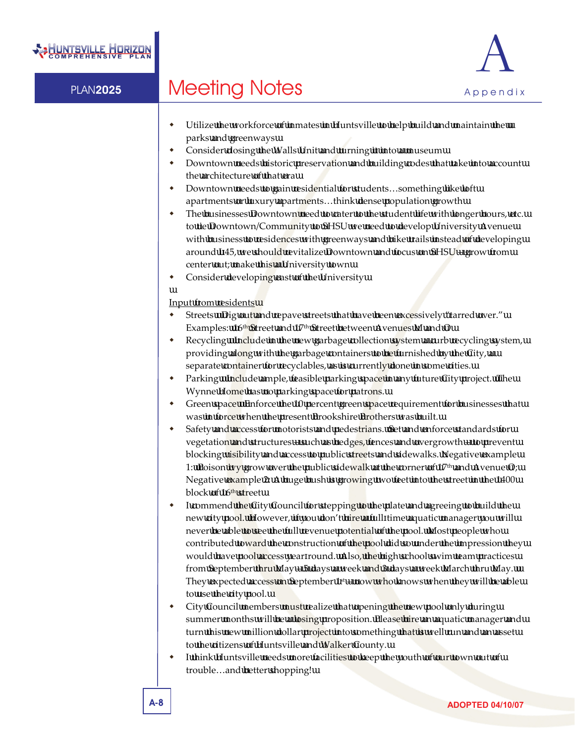

- Utilize the workforce of inmates in Huntsville to help build and maintain the parks and greenways
- Consider closing the Walls Unit and turning it into a museum
- Downtown needs historic preservation and building codes that take into account the architecture of that era
- Downtown needs to gain residential for students…something like loft apartments or luxury apartments…think dense population growth
- The businesses Downtown need to cater to the student life with longer hours, etc. to tie Downtown/Community to SHSU we need to develop University Avenue with business to residences with greenways and bike trails instead of developing around I 45, we should revitalize Downtown and focus on SHSU – grow from center out; make this a University town
- Consider developing east of the University

### Input from residents

- Streets Dig out and repave streets that have been excessively "tarred over." Examples: 16<sup>th</sup> Street and 17<sup>th</sup> Street between Avenues M and O
- Recycling Include in the new garbage collection system a curb recycling system, providing along with the garbage containers to be furnished by the City, a separate container for recyclables, as is currently done in some cities.
- Parking Include ample, feasible parking space in any future City project. The Wynne Home has no parking space for patrons.
- Green space Enforce the 10 percent green space requirement for businesses that was in force when the present Brookshire Brothers was built.
- Safety and access for motorists and pedestrians. Set and enforce standards for vegetation and structures – such as hedges, fences and overgrowth – to prevent blocking visibility and access to public streets and sidewalks. Negative example 1: Poison ivy grow over the public sidewalk at the corner of  $17<sup>th</sup>$  and Avenue O; Negative example 2: A huge bush is growing two feet into the street in the 1400 block of 16<sup>th</sup> street
- I commend the City Council for stepping to the plate and agreeing to build the new city pool. However, if you don't hire a full time aquatic manager you will never be able to see the full revenue potential of the pool. Most people who contributed toward the construction of the pool did so under the impression they would have pool access year round. Also, the high school swim team practices from September thru May – 5 days a week and 3 days a week March thru May. They expected access on September  $1<sup>st</sup>$  – now who knows when they will be able to use the city pool.
- City Council members must realize that opening the new pool only during summer months will be a losing proposition. Please hire an aquatic manager and turn this new million dollar project into something that is well run and an asset to the citizens of Huntsville and Walker County.
- I think Huntsville needs more facilities to keep the youth of our town out of trouble…and better shopping!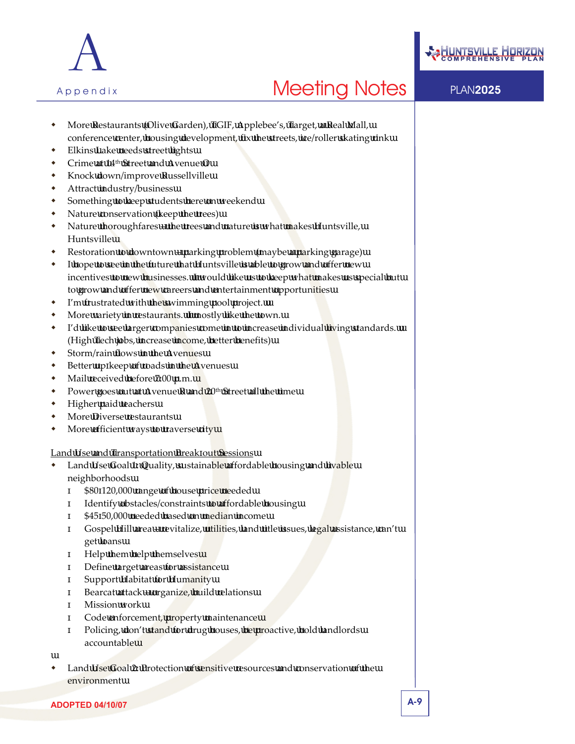



- More Restaurants (Olive Garden), TGIF, Applebee's, Target, a Real Mall, conference center, housing development, fix the streets, ice/roller skating rink
- Elkins Lake needs street lights
- Crime at 14<sup>th</sup> Street and Avenue O
- Knock down/improve Russellville
- Attract industry/business
- Something to keep students here on weekend
- Nature conservation (keep the trees)
- Nature thoroughfares the trees and nature is what makes Huntsville, Huntsville
- Restoration to downtown parking problem (maybe a parking garage)
- I hope to see in the future that Huntsville is able to grow and offer new incentives to new businesses. I would like us to keep what makes us special but to grow and offer new careers and entertainment opportunities
- I'm frustrated with the swimming pool project.
- More variety in restaurants. I mostly like the town.
- I'd like to see larger companies come in to increase individual living standards. (High Tech jobs, increase income, better benefits)
- **\*** Storm/rain flows in the Avenues
- Better up keep of roads in the Avenues
- Mail received before 7:00 p.m.
- Power goes out at Avenue R and 20<sup>th</sup> Street all the time
- Higher paid teachers
- More Diverse restaurants
- More efficient ways to traverse city

### Land Use and Transportation Break out Sessions

 Land Use Goal 1: Quality, sustainable affordable housing and livable neighborhoods

\$80 120,000 range of house price needed Identify obstacles/constraints to affordable housing \$45 50,000 needed based on median income

Gospel Hill area – revitalize, utilities, land title issues, legal assistance, can't

- get loans
- Help them help themselves
- Define target areas for assistance
- Support Habitat for Humanity
- Bearcat attack organize, build relations
- Mission work
- Code enforcement, property maintenance

Policing, don't stand for drug houses, be proactive, hold landlords accountable

 Land Use Goal 2: Protection of sensitive resources and conservation of the environment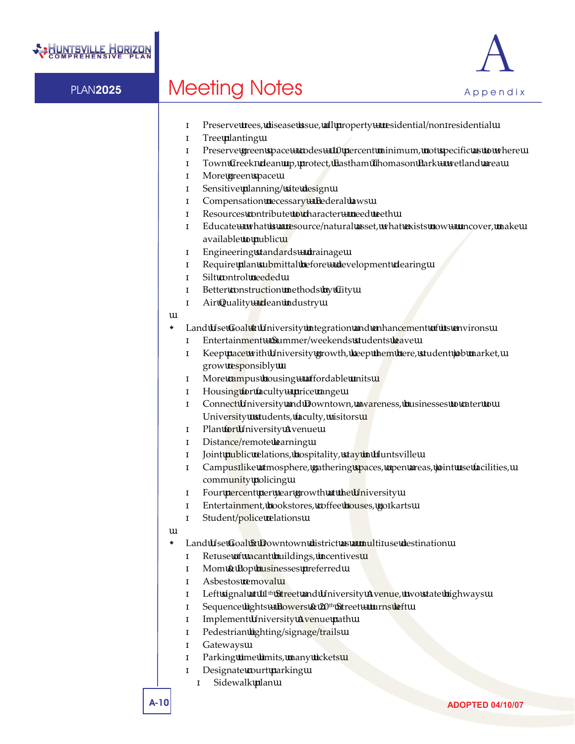



|   | Preserve trees, disease issue, all property - residential/non residential<br>Tree planting<br>Preserve green space $-$ codes $-10$ percent minimum, not specific as to where<br>Town Creek clean up, protect, Eastham Thomason Park - wetland area<br>More green space<br>Sensitive planning/ site design<br>Compensation necessary - Federal laws<br>Resources contribute to character - need teeth<br>Educate – what is a resource/natural asset, what exists now – uncover, make<br>available to public<br>Engineering standards - drainage<br>Require plan submittal before - development clearing<br>Silt control needed<br>Better construction methods by City<br>Air Quality - clean industry                                                                                |
|---|-------------------------------------------------------------------------------------------------------------------------------------------------------------------------------------------------------------------------------------------------------------------------------------------------------------------------------------------------------------------------------------------------------------------------------------------------------------------------------------------------------------------------------------------------------------------------------------------------------------------------------------------------------------------------------------------------------------------------------------------------------------------------------------|
| ٠ | Land Use Goal 4: University integration and enhancement of its environs<br>Entertainment – Summer/weekends students leave<br>Keep pace with University growth, keep them here, student job market,<br>grow responsibly<br>More campus housing - affordable units<br>Housing for faculty – price range<br>Connect University and Downtown, awareness, businesses to cater to<br>University students, faculty, visitors<br>Plan for University Avenue<br>Distance/remote learning<br>Joint public relations, hospitality, stay in Huntsville<br>Campus like atmosphere, gathering spaces, open areas, joint use facilities,<br>community policing<br>Four percent per year growth at the University<br>Entertainment, bookstores, coffee houses, go karts<br>Student/police relations |
|   | Land Use Goal 5: Downtown district as a multi use destination<br>Re use of vacant buildings, incentives<br>Mom & Pop businesses preferred<br>Asbestos removal<br>Left signal at 11 <sup>th</sup> Street and University Avenue, two state highways<br>Sequence lights - Bowers & 20 <sup>th</sup> Street - turns left<br><b>Implement University Avenue path</b><br>Pedestrian lighting/signage/trails<br>Gateways<br>Parking time limits, many tickets<br>Designate court parking<br>Sidewalk plan                                                                                                                                                                                                                                                                                  |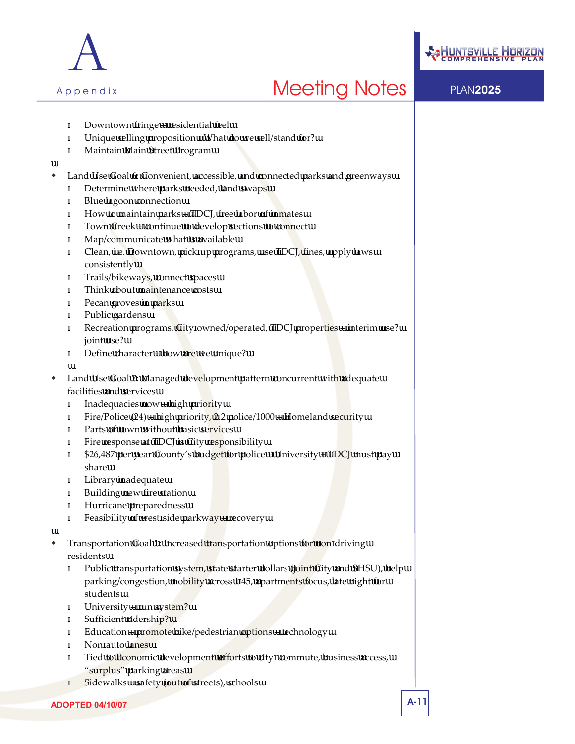



Downtown fringe – residential feel Unique selling proposition What do we sell/stand for? Maintain Main Street Program Land Use Goal 6: Convenient, accessible, and connected parks and greenways Determine where parks needed, land swaps Blue lagoon connection How to maintain parks – TDCJ, free labor of inmates Town Creek – continue to develop sections to connect Map/communicate what is available Clean, i.e. Downtown, pick up programs, use TDCJ, fines, apply laws consistently Trails/bikeways, connect spaces Think about maintenance costs Pecan groves in parks Public gardens Recreation programs, City owned/operated, TDCJ properties – interim use? joint use? Define character – how are we unique? Land Use Goal 7: Managed development pattern concurrent with adequate facilities and services Inadequacies now – high priority Fire/Police (24) – high priority, 2.2 police/1000 – Homeland security Parts of town without basic services Fire response at TDCJ is City responsibility \$26,487 per year County's budget for police – University + TDCJ must pay share Library inadequate Building new fire station Hurricane preparedness Feasibility of west side parkway – recovery Transportation Goal 1: Increased transportation options for non driving residents Public transportation system, state starter dollars (joint City and SHSU), help parking/congestion, mobility across I 45, apartments focus, late night for students University – run system? Sufficient ridership? Education – promote bike/pedestrian options – technology Non auto lanes Tied to Economic development efforts to city commute, business access, "surplus" parking areas

Sidewalks – safety (out of streets), schools

A

Appendix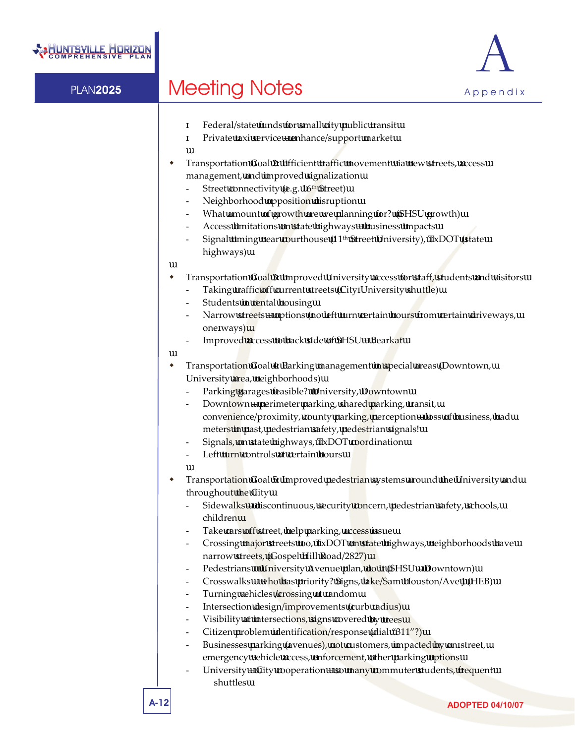



Federal/state funds for small city public transit Private taxi service – enhance/support market

- Transportation Goal 2: Efficient traffic movement via new streets, access management, and improved signalization
	- Street connectivity (e.g. 16<sup>th</sup> Street)
	- Neighborhood opposition disruption
	- What amount of growth are we planning for? (SHSU growth)
	- Access limitations on state highways business impacts
	- Signal timing near courthouse (11<sup>th</sup> Street University), TxDOT (state highways)
- Transportation Goal 3: Improved University access for staff, students and visitors
	- Taking traffic off current streets (City University shuttle)
	- Students in rental housing
	- Narrow streets options (no left turn certain hours from certain driveways, one ways)
	- Improved access to back side of SHSU Bearkat
- Transportation Goal 4: Parking management in special areas (Downtown, University area, neighborhoods)
	- Parking garages feasible? University, Downtown
	- Downtown perimeter parking, shared parking, transit, convenience/proximity, county parking, perception – loss of business, had meters in past, pedestrian safety, pedestrian signals!
	- Signals, on state highways, TxDOT coordination
	- Left turn controls at certain hours
- Transportation Goal 5: Improved pedestrian systems around the University and throughout the City
	- Sidewalks discontinuous, security concern, pedestrian safety, schools, children
	- Take cars off street, help parking, access issue
	- Crossing major streets too, TxDOT on state highways, neighborhoods have narrow streets, (Gospel Hill Road/2827)
	- Pedestrians **University Avenue plan, do it (SHSU Downtown)**
	- Crosswalks who has priority? Signs, lake/Sam Houston/Ave J (HEB)
	- Turning vehicles /crossing at random
	- Intersection design/improvements (curb radius)
	- Visibility at intersections, signs covered by trees
	- Citizen problem identification/response (dial "311"?)
	- Businesses parking (avenues), not customers, impacted by on street, emergency vehicle access, enforcement, other parking options
	- University City cooperation so many commuter students, frequent shuttles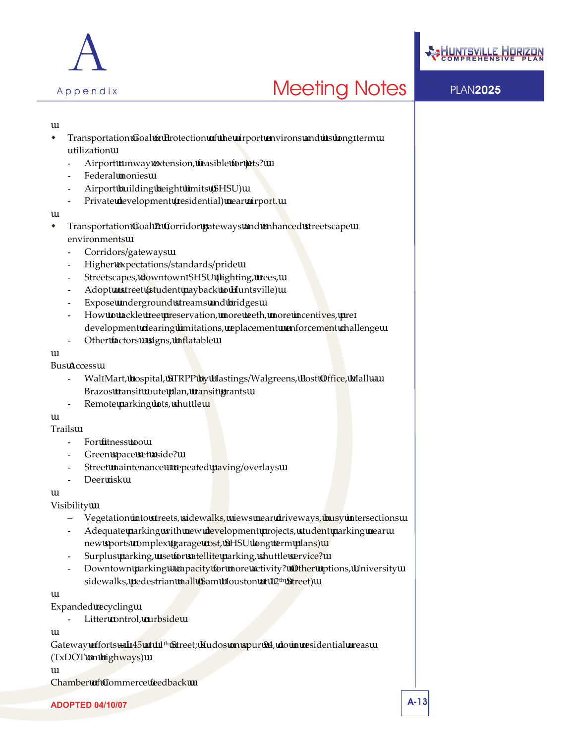



- Transportation Goal 6: Protection of the airport environs and its long term utilization
	- Airport runway extension, feasible for jets?
	- Federal monies
	- Airport building height limits (SHSU)
	- Private development (residential) near airport.
- Transportation Goal 7: Corridor gateways and enhanced streetscape environments
	- Corridors/gateways
	- Higher expectations/standards/pride
	- Streetscapes, downtown SHSU (lighting, trees,
	- Adopt a street (student payback to Huntsville)
	- Expose underground streams and bridges
	- How to tackle tree preservation, more teeth, more incentives, pre development clearing limitations, replacement enforcement challenge
	- Other factors signs, inflatable

#### Bus Access

- Wal Mart, hospital, STRPP by Hastings/Walgreens, Post Office, Mall -Brazos transit route plan, transit grants
- Remote parking lots, shuttle

### Trails

- For fitness too
- Green space set aside?
- Street maintenance repeated paving/overlays
- Deer risk

### Visibility

- Vegetation into streets, sidewalks, views near driveways, busy intersections
- Adequate parking with new development projects, student parking near new sports complex (garage cost, SHSU long term plans)
- Surplus parking, use for satellite parking, shuttle service?
- Downtown parking capacity for more activity? Other options, University sidewalks, pedestrian mall (Sam Houston at 12<sup>th</sup> Street)

### Expanded recycling

Litter control, curbside

Gateway efforts - I 45 at 11<sup>th</sup> Street; Kudos on spur 94, do in residential areas (TxDOT on highways)

Chamber of Commerce feedback

**ADOPTED 04/10/07** A-13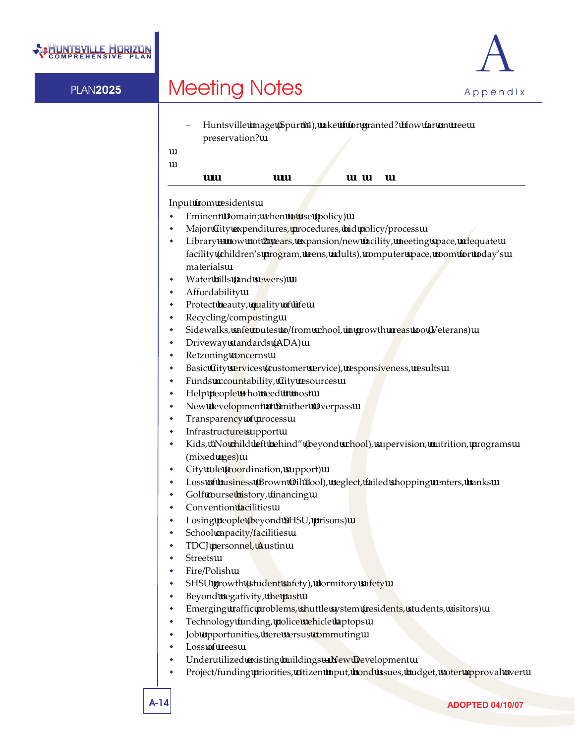



– Huntsville image (Spur 94), take if for granted? How far on tree preservation?

### **WARD 2 CONGRESS – SEPTEMBER 14, 2006**

### Input from residents

- Eminent Domain; when to use (policy)
- Major City expenditures, procedures, bid policy/process
- Library now not 2 years, expansion/new facility, meeting space, adequate facility (children's program, teens, adults), computer space, room for today's materials
- Water bills (and sewers)
- Affordability
- Protect beauty, quality of life
- Recycling/composting
- Sidewalks, safe routes to/from school, in growth areas too (Veterans)
- Driveway standards (ADA)
- Re zoning concerns
- Basic City services (customer service), responsiveness, results
- Funds accountability, City resources
- Help people who need it most
- New development at Smither Overpass
- Transparency of process
- Infrastructure support
- Kids, "No child left behind" (beyond school), supervision, nutrition, programs (mixed ages)
- City role (coordination, support)
- Loss of business (Brown Oil Tool), neglect, failed shopping centers, banks
- Golf course history, financing
- Convention facilities
- Losing people (beyond SHSU, prisons)
- School capacity/facilities
- TDCJ personnel, Austin
- Streets
- Fire/Polish
- SHSU growth (student safety), dormitory safety
- Beyond negativity, the past
- Emerging traffic problems, shuttle system (residents, students, visitors)
- Technology funding, police vehicle laptops
- Job opportunities, here versus commuting
- Loss of trees
- Underutilized existing buildings New Development
- Project/funding priorities, citizen input, bond issues, budget, voter approval over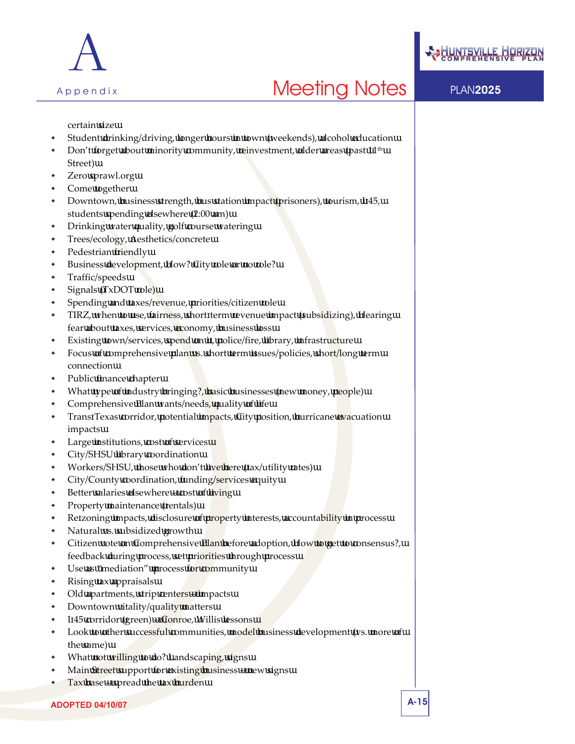



certain size

- Student drinking/driving, longer hours in town (weekends), alcohol education
- Don't forget about minority community, reinvestment, older areas (past 11<sup>th</sup>) Street)
- Zero sprawl.org
- Come together
- Downtown, business strength, bus station impact (prisoners), tourism, I 45, students spending elsewhere (2:00 am)
- Drinking water quality, golf course watering
- Trees/ecology, Aesthetics/concrete
- Pedestrian friendly
- Business development, How? City role or no role?
- Traffic/speeds
- Signals (TxDOT role)
- Spending and taxes/revenue, priorities/citizen role
- TIRZ, when to use, fairness, short term revenue impact (subsidizing), Hearing fear about taxes, services, economy, business loss
- Existing town/services, spend on it, police/fire, library, infrastructure
- Focus of comprehensive plan vs. short term issues/policies, short/long term connection
- Public finance chapter
- What type of industry bringing?, basic businesses (new money, people)
- Comprehensive Plan wants/needs, quality of life
- Trans Texas corridor, potential impacts, City position, hurricane evacuation impacts
- Large institutions, cost of services
- City/SHSU library coordination
- Workers/SHSU, those who don't live here (tax/utility rates)
- City/County coordination, funding/services equity
- Better salaries elsewhere cost of living
- Property maintenance (rentals)
- Re zoning impacts, disclosure of property interests, accountability in process
- Natural vs. subsidized growth
- Citizen vote on Comprehensive Plan before adoption, How to get to consensus?, feedback during process, set priorities through process
- Use as "mediation" process for community
- Rising tax appraisals
- Old apartments, strip centers impacts
- Downtown vitality/quality matters
- I 45 corridor (green) Conroe, Willis lessons
- Look to other successful communities, model business development (vs. more of the same)
- What not willing to do? Landscaping, signs
- Main Street support for existing business new signs
- Tax base spread the tax burden

**ADOPTED 04/10/07** A-15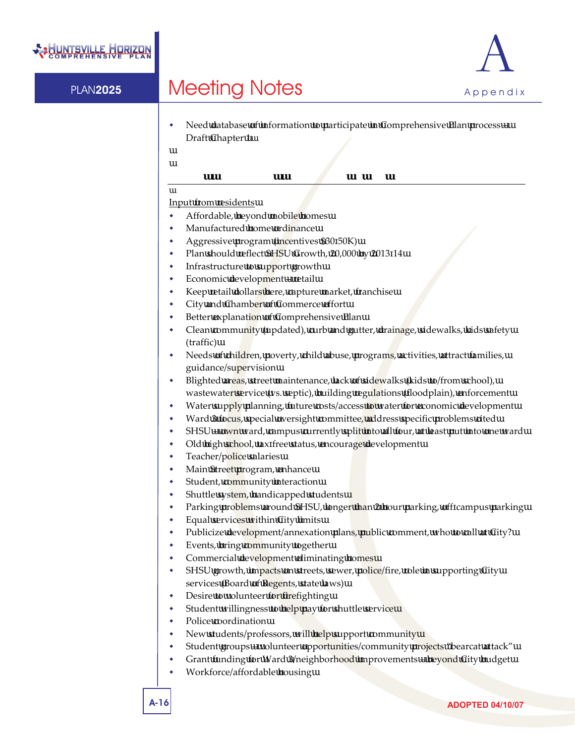



 Need database of information to participate in Comprehensive Plan process – Draft Chapter 1

### **WARD 3 CONGRESS – SEPTEMBER 21, 2006**

#### Input from residents

- Affordable, beyond mobile homes
- Manufactured home ordinance
	- Aggressive program (incentives \$30 50K)
- Plan should reflect SHSU Growth, 20,000 by 2013 14
- Infrastructure to support growth
- Economic development retail
- Keep retail dollars here, capture market, franchise
- City and Chamber of Commerce effort
- Better explanation of Comprehensive Plan
- Clean community (updated), curb and gutter, drainage, sidewalks, kids safety (traffic)
- Needs of children, poverty, child abuse, programs, activities, attract families, guidance/supervision
- Blighted areas, street maintenance, lack of sidewalks (kids to/from school), wastewater service (vs. septic), building regulations (floodplain), enforcement
- Water supply planning, future costs/access to water for economic development
- Ward 3 focus, special oversight committee, address specific problems cited
- SHSU own ward, campus currently split into all four, at least put into one ward
- Old high school, tax free status, encourage development
- Teacher/police salaries
- Main Street program, enhance
- Student, community interaction
- Shuttle system, handicapped students
- Parking problems around SHSU, longer than 2 hour parking, off campus parking
- Equal services within City limits
- Publicize development/annexation plans, public comment, who to call at City?
- Events, bring community together
- Commercial development eliminating homes
- SHSU growth, impacts on streets, sewer, police/fire, role in supporting City services (Board of Regents, state laws)
- Desire to volunteer for firefighting
- Student willingness to help pay for shuttle service
- Police coordination
- New students/professors, will help support community
- Student groups volunteer opportunities/community projects "bearcat attack"
- Grant funding for Ward 3/neighborhood improvements beyond City budget
- Workforce/affordable housing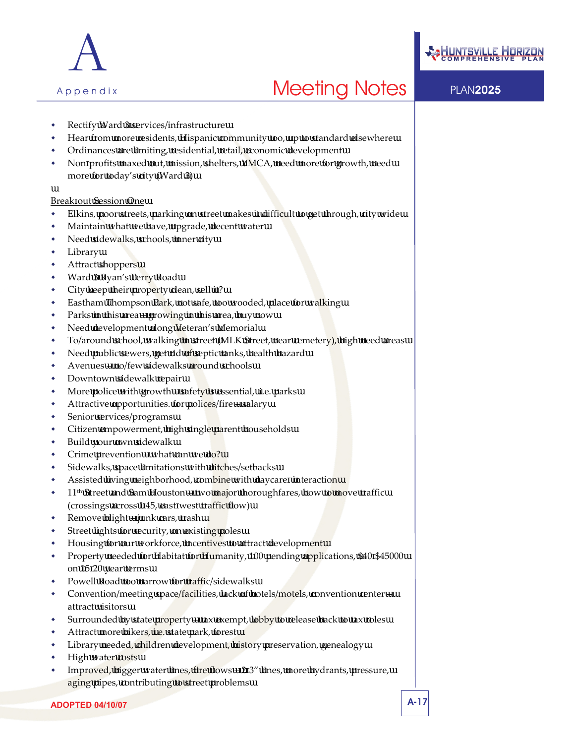



- Rectify Ward 3 services/infrastructure
- Hear from more residents, Hispanic community too, up to standard elsewhere
- Ordinances are limiting, residential, retail, economic development
- Non profits maxed out, mission, shelters, YMCA, need more for growth, need more for today's city (Ward 3)

#### Break out Session One

- Elkins, poor streets, parking on street makes it difficult to get through, city wide
- Maintain what we have, upgrade, decent water
- Need sidewalks, schools, inner city
- Library
- Attract shoppers
- Ward 3 Ryan's Ferry Road
- City keep their property clean, sell it?
- Eastham Thompson Park, not safe, too wooded, place for walking
- Parks in this area growing in this area, buy now
- Need development along Veteran's Memorial
- To/around school, walking in street (MLK Street, near cemetery), high need areas
- Need public sewers, get rid of septic tanks, health hazard
- Avenues no/few sidewalks around schools
- Downtown sidewalk repair
- More police with growth safety is essential, .i.e. parks
- Attractive opportunities. for polices/fire salary
- Senior services/programs
- Citizen empowerment, high single parent households
- Build your own sidewalk
- Crime prevention what can we do?
- Sidewalks, space limitations with ditches/setbacks
- Assisted living neighborhood, combine with daycare interaction
- $11<sup>th</sup>$  Street and Sam Houston two major thoroughfares, how to move traffic (crossings across I 45, east west traffic flow)
- Remove blight junk cars, trash
- Street lights for security, on existing poles
- Housing for our workforce, incentives to attract development
- \* Property needed for Habitat for Humanity, 100 pending applications, \$40 \$45000 on 15 20 year terms
- Powell Road too narrow for traffic/sidewalks
- Convention/meeting space/facilities, lack of hotels/motels, convention center attract visitors
- Surrounded by state property tax exempt, lobby to release back to tax roles
- Attract more bikers, i.e. state park, forest
- Library needed, children development, history preservation, genealogy
- High water costs
- Improved, bigger water lines, fire flows 2 3" lines, more hydrants, pressure, aging pipes, contributing to street problems

**ADOPTED 04/10/07** A-17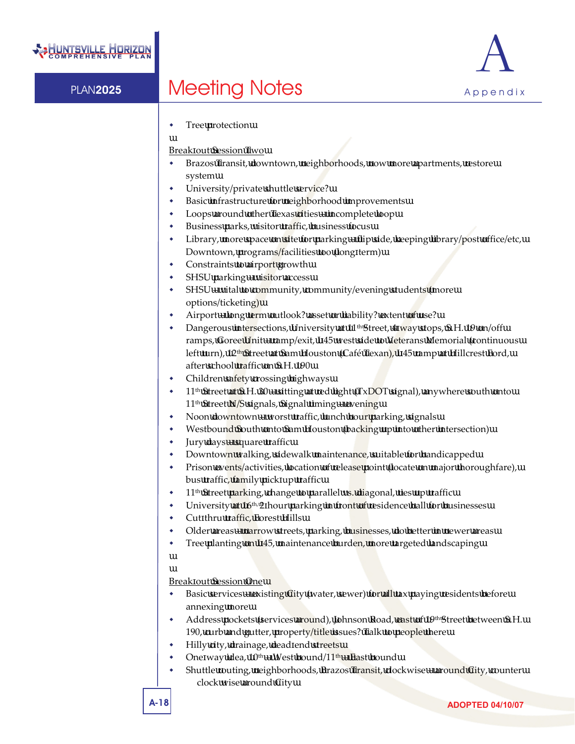

Tree protection

Break out Session Two

- Brazos Transit, downtown, neighborhoods, now more apartments, restore system
- University/private shuttle service?
- Basic infrastructure for neighborhood improvements
- Loops around other Texas cities incomplete loop
- Business parks, visitor traffic, business focus
- Library, more space on site for parking flip side, keeping library/post office/etc, Downtown, programs/facilities too (long term)
- Constraints to airport growth
- SHSU parking visitor access
- SHSU vital to community, community/evening students (more options/ticketing)
- Airport long term outlook? asset or liability? extent of use?
- Dangerous intersections, University at 11<sup>th</sup> Street, 4 way stops, S.H. 19 on/off ramps, Goree Unit – ramp/exit, I 45 west side to Veterans Memorial (continuous left turn), 12<sup>th</sup> Street at Sam Houston (Café Texan), I 45 ramp at Hillcrest Ford, after school traffic on S.H. 190
- Children safety crossing highways
- $11<sup>th</sup>$  Street at S.H. 30 sitting at red light (TxDOT signal), anywhere south onto 11<sup>th</sup> Street N/S signals, Signal timing – evening
- Noon downtown worst traffic, lunch hour parking, signals
- Westbound South onto Sam Houston (backing up into other intersection)
- Jury days square traffic
- Downtown walking, sidewalk maintenance, suitable for handicapped
- Prison events/activities, location of release point (locate on major thoroughfare), bus traffic, family pick up traffic
- 11<sup>th</sup> Street parking, change to parallel vs. diagonal, ties up traffic
- University at 16<sup>th, 2</sup> hour parking in front of residence hall for businesses
- Cut thru traffic, Forest Hills
- Older areas narrow streets, parking, businesses, do better in newer areas
- Tree planting on I 45, maintenance burden, more targeted landscaping

Break out Session One

- Basic services existing City (water, sewer) for all tax paying residents before annexing more
- Address pockets (services around), Johnson Road, east of 19th Street between S.H. 190, curb and gutter, property/title issues? Talk to people there
- Hilly city, drainage, dead end streets
- One way idea,  $10^{th}$  West bound/ $11^{th}$  East bound
- Shuttle routing, neighborhoods, Brazos Transit, clockwise around City, counter clock wise around City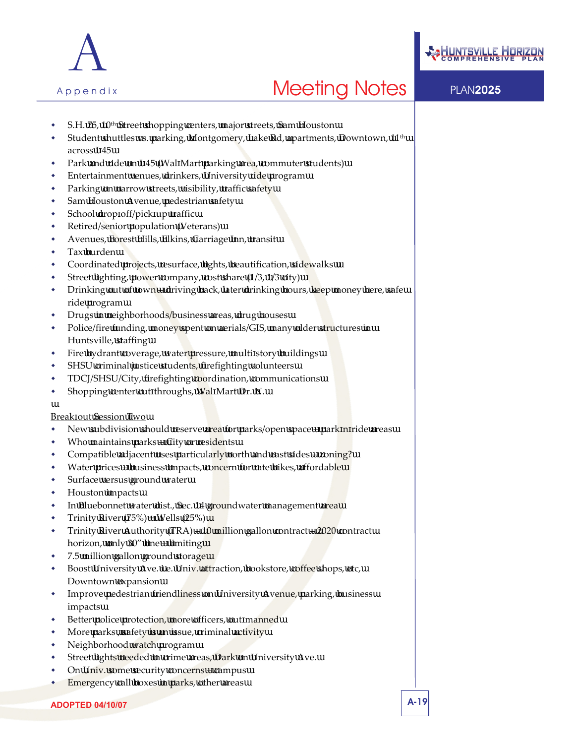



- 
- S.H. 75, 10th Street shopping centers, major streets, Sam Houston Student shuttles vs. parking, Montgomery, Lake Rd, apartments, Downtown, 11th across I 45
- Park and ride on I 45 (Wal Mart parking area, commuter students)
- Entertainment venues, drinkers, University ride program
- Parking on narrow streets, visibility, traffic safety
- Sam Houston Avenue, pedestrian safety
- School drop off/pick up traffic
- Retired/senior population (Veterans)
- Avenues, Forest Hills, Elkins, Carriage Inn, transit
- Tax burden
- Coordinated projects, resurface, lights, beautification, sidewalks
- Street lighting, power company, cost share (1/3, 1/3 city)
- Drinking out of town driving back, later drinking hours, keep money here, safe ride program
- Drugs in neighborhoods/business areas, drug houses
- Police/fire funding, money spent on aerials/GIS, many older structures in Huntsville, staffing
- Fire hydrant coverage, water pressure, multi story buildings
- SHSU criminal justice students, firefighting volunteers
- TDCJ/SHSU/City, firefighting coordination, communications
- Shopping center cut throughs, Wal Mart Dr. N.

#### Break out Session Two

- New subdivision should reserve area for parks/open space park n ride areas
- Who maintains parks City or residents
- Compatible adjacent uses particularly north and east sides zoning?
- Water prices business impacts, concern for rate hikes, affordable
- Surface versus ground water
- Houston impacts
- In Bluebonnet water dist., Sec. 14 groundwater management area
- Trinity River (75%) + Wells (25%)
- Trinity River Authority (TRA) 10 million gallon contract 2020 contract horizon, only 30" line – limiting
- 7.5 million gallon ground storage
- Boost University Ave. i.e. Univ. attraction, bookstore, coffee shops, etc, Downtown expansion
- **Improve pedestrian friendliness on University Avenue, parking, business** impacts
- Better police protection, more officers, out manned
- More parks , safety is an issue, criminal activity
- Neighborhood watch program
- Street lights needed in crime areas, Dark on University Ave.
- On Univ. some security concerns campus
- Emergency call boxes in parks, other areas

**ADOPTED 04/10/07** A-19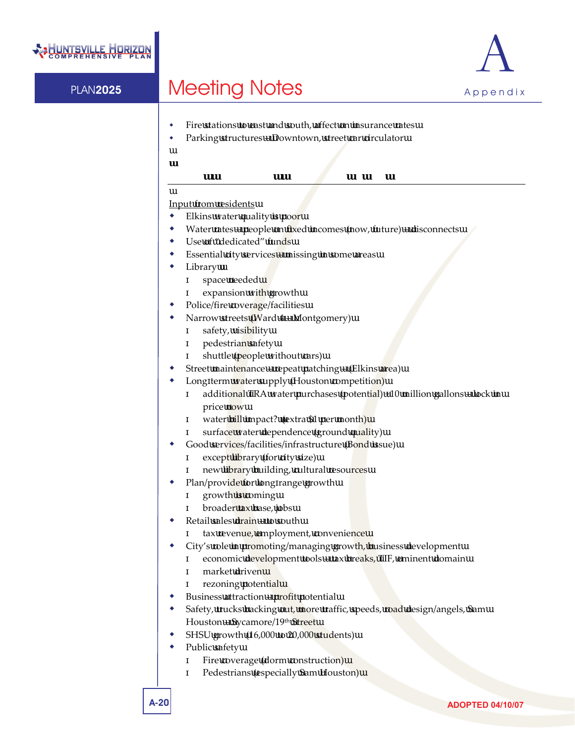



- Fire stations to east and south, affect on insurance rates
- Parking structures Downtown, street car circulator

### **WARD 4 CONGRESS – SEPTEMBER 28, 2006**

Input from residents

- Elkins water quality is poor
- Water rates people on fixed incomes (now, future) disconnects
- Use of "dedicated" funds
- Essential city services missing in some areas
- Library
	- space needed
	- expansion with growth
- Police/fire coverage/facilities
- Narrow streets (Ward 4 Montgomery) safety, visibility pedestrian safety shuttle (people without cars)
- Street maintenance repeat patching (Elkins area)
- Long term water supply (Houston competition)
	- additional TRA water purchases (potential) +10 million gallons lock in price now
		- water bill impact? (extra \$1 per month)
		- surface water dependence (ground quality)
- Good services/facilities/infrastructure (Bond issue) except library (for city size) new library building, cultural resources
- Plan/provide for long range growth growth is coming
	- broader tax base, jobs
- Retail sales drain to south
	- tax revenue, employment, convenience
- City's role in promoting/managing growth, business development economic development tools – tax breaks, TIF, eminent domain market driven
	- rezoning potential
- Business attraction profit potential
- Safety, trucks backing out, more traffic, speeds, road design/angels, Sam Houston – Sycamore/19th Street
- SHSU growth (16,000 to 20,000 students)
- Public safety
	- Fire coverage (dorm construction)
	- Pedestrians (especially Sam Houston)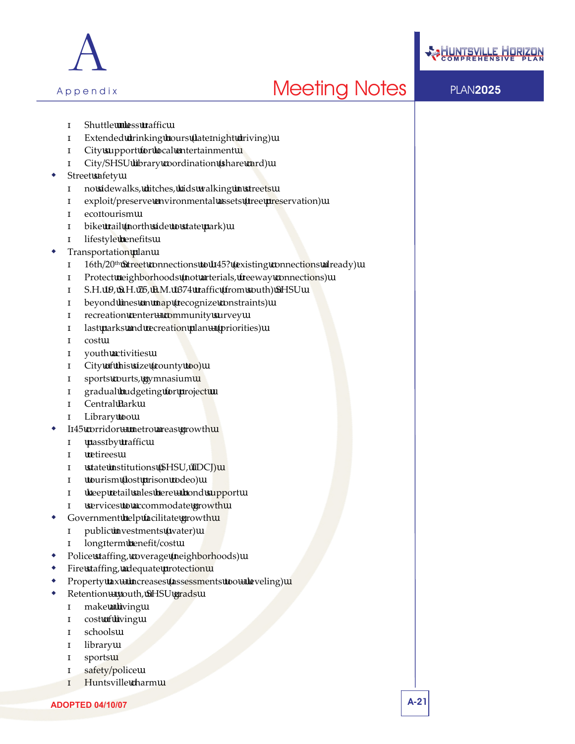



Shuttle less traffic Extended drinking hours (late night driving) City support for local entertainment City/SHSU library coordination (share card) Street safety no sidewalks, ditches, kids walking in streets exploit/preserve environmental assets (tree preservation) eco tourism bike trail (north side to state park) lifestyle benefits Transportation plan 16th/20<sup>th</sup> Street connections to I 45? (existing connections already) Protect neighborhoods (not arterials, freeway connections) S.H. 19, S.H. 75, F.M. 1374 traffic (from south) SHSU beyond lines on map (recognize constraints) recreation center – community survey last parks and recreation plan – (priorities) cost youth activities City of this size (county too) sports courts, gymnasium gradual budgeting for project Central Park Library too I 45 corridor – metro areas growth pass by traffic retirees state institutions (SHSU, TDCJ) tourism (lost prison rodeo) keep retail sales here – bond support services to accommodate growth Government help facilitate growth public investments (water) long term benefit/cost Police staffing, coverage (neighborhoods) Fire staffing, adequate protection Property tax – increases (assessments too – leveling) Retention – youth, SHSU grads make a living cost of living schools library sports safety/police Huntsville charm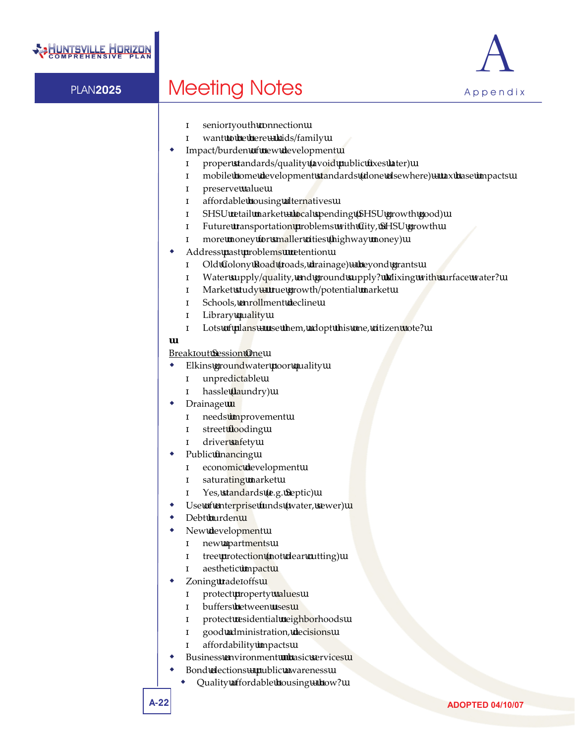

senior youth connection

- want to be here kids/family
- Impact/burden of new development proper standards/quality (avoid public fixes later) mobile home development standards (done elsewhere) – tax base impacts preserve value affordable housing alternatives SHSU retail market – local spending (SHSU growth good)
	- Future transportation problems with City, SHSU growth
	- more money for smaller cities (highway money)
- Address past problems retention
	- Old Colony Road (roads, drainage) beyond grants Water supply/quality, end ground supply? Mixing with surface water? Market study – true growth/potential market Schools, enrollment decline Library quality Lots of plans – use them, adopt this one, citizen vote?

### Break out Session One

- Elkins groundwater poor quality unpredictable hassle (laundry)
- Drainage
	- needs improvement street flooding driver safety
	- Public financing economic development saturating market
		- Yes, standards (e.g. Septic)
- Use of enterprise funds (water, sewer)
- Debt burden
- New development new apartments tree protection (not clear cutting) aesthetic impact
- Zoning trade offs protect property values buffers between uses protect residential neighborhoods good administration, decisions affordability impacts
- Business environment basic services
- Bond elections public awareness
	- Quality affordable housing how?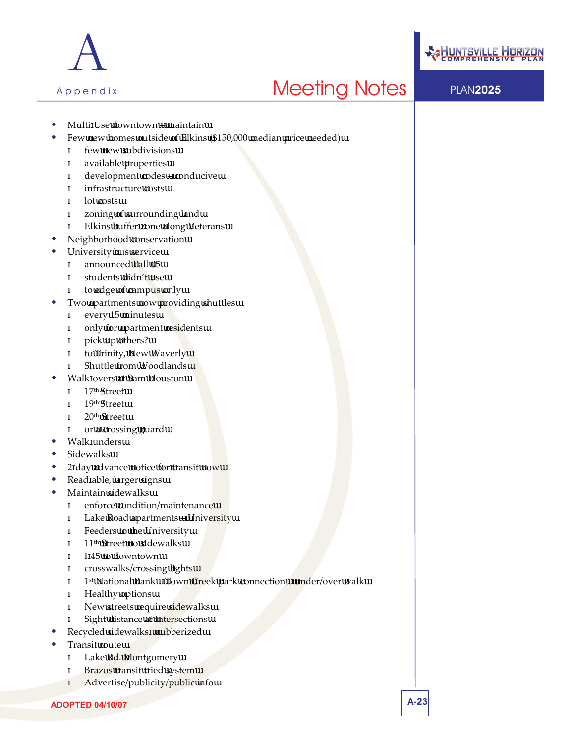



- Multi Use downtown maintain
- Few new homes outside of Elkins (\$150,000 median price needed)
	- few new subdivisions available properties development codes – conducive infrastructure costs lot costs zoning of surrounding land
		- Elkins buffer zone along Veterans
- Neighborhood conservation
- University bus service announced Fall 05 students didn't use to edge of campus only
- Two apartments now providing shuttles every 15 minutes only for apartment residents pick up others? to Trinity, New Waverly
	- Shuttle from Woodlands
- Walk overs at Sam Houston 17th Street
	- 19th Street
	- 20th Street
	- or a crossing guard
- Walk unders
- Sidewalks
- 2 day advance notice for transit now
- Read able, larger signs
- Maintain sidewalks
	- enforce condition/maintenance
	- Lake Road apartments University
	- Feeders to the University
	- 11th Street no sidewalks
	- I 45 to downtown
	- crosswalks/crossing lights
	- 1st National Bank Town Creek park connection under/over walk
	- Healthy options
	- New streets require sidewalks
	- Sight distance at intersections
- Recycled sidewalks‐ rubberized
- Transit route
	- Lake Rd. Montgomery Brazos transit tried system
	- Advertise/publicity/public info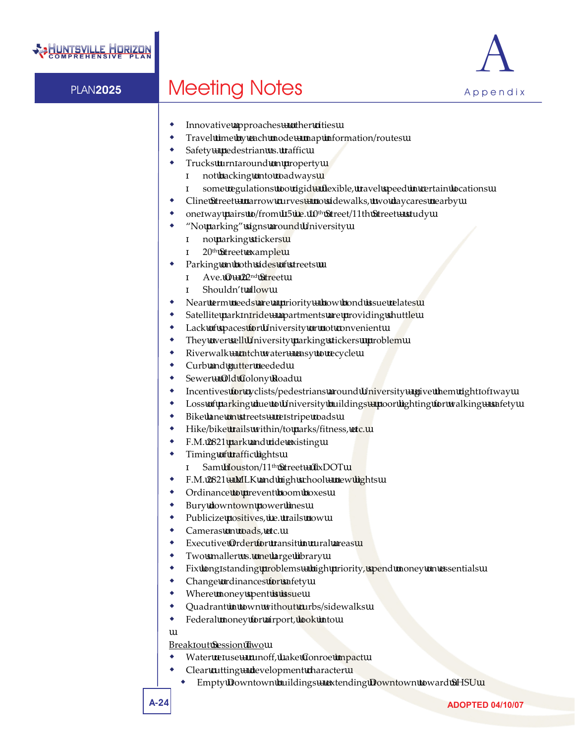

- Innovative approaches other cities
- Travel time by each mode map information/routes
- Safety pedestrian vs. traffic
- Trucks turn around on property not backing onto roadways
	- some regulations too rigid flexible, travel speed in certain locations
- Cline Street narrow curves no sidewalks, two daycares nearby
- one way pairs to/from I  $5$  i.e.  $10<sup>th</sup>$  Street/11th Street study
- "No parking" signs around University no parking stickers 20th Street example
- Parking on both sides of streets Ave. O – 22nd Street
	- Shouldn't allow
- Near term needs are a priority how bond issue relates
- Satellite park n ride apartments are providing shuttle
- Lack of spaces for University or not convenient
- They over sell University parking stickers problem
- Riverwalk  $\text{catch water}$  easy to recycle
- Curb and gutter needed
- Sewer Old Colony Road
- Incentives for cyclists/pedestrians around University give them right of way
- Loss of parking due to University buildings poor lighting for walking safety
- Bike lane on streets re stripe roads
- Hike/bike trails within/to parks/fitness, etc.
- F.M. 2821 park and ride existing
- Timing of traffic lights
	- Sam Houston/11th Street TxDOT
- F.M. 2821 MLK and high school new lights
- Ordinance to prevent boom boxes
- Bury downtown power lines
- Publicize positives, i.e. trails now
- Cameras on roads, etc.
- Executive Order for transit in rural areas
- Two smaller vs. one large library
- Fix long standing problems high priority, spend money on essentials
- Change ordinances for safety
- Where money spent is issue
- Quadrant in town without curbs/sidewalks
- Federal money for airport, look into

### Break out Session Two

- Water re use runoff, Lake Conroe impact
- Clear cutting development character
	- Empty Downtown buildings extending Downtown toward SHSU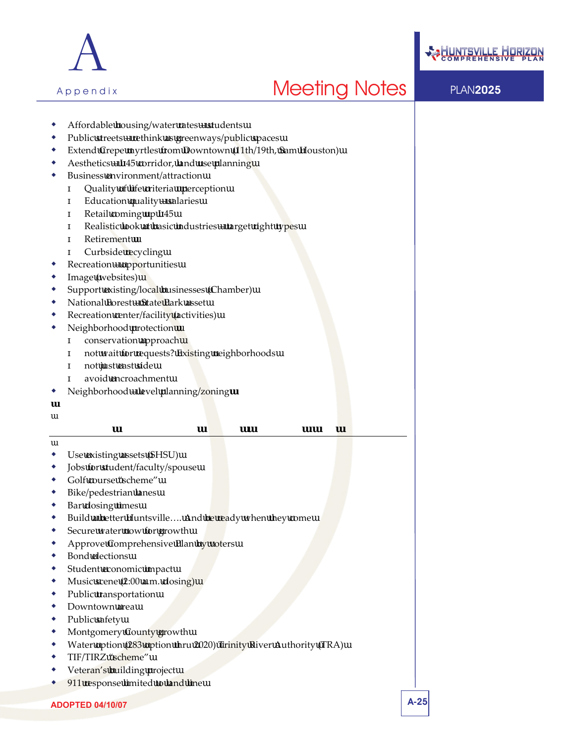



- Affordable housing/water rates students
- Public streets rethink as greenways/public spaces
- Extend Crepe myrtles from Downtown (11th/19th, Sam Houston)
- Aesthetics I 45 corridor, land use planning
- Business environment/attraction
	- Quality of life criteria perception
	- Education quality salaries
	- Retail coming up I 45
	- Realistic look at basic industries target right types
	- Retirement
	- Curbside recycling
- Recreation opportunities
- Image (websites)
- Support existing/local businesses (Chamber)
- National Forest State Park asset
- Recreation center/facility (activities)
- Neighborhood protection
	- conservation approach
		- not wait for requests? Existing neighborhoods
	- not just east side
	- avoid encroachment
- Neighborhood level planning/zoning

### **ECONOMIC DEVELOPMENT FORUM – OCTOBER 5, 2006**

- Use existing assets (SHSU)
- Jobs for student/faculty/spouse
- Golf course "scheme"
- Bike/pedestrian lanes
- Bar closing times
- Build a better Huntsville…. And be ready when they come
- Secure water now for growth
- Approve Comprehensive Plan by voters
- Bond elections
- Student economic impact
- Music scene (2:00 a.m. closing)
- Public transportation
- Downtown area
- Public safety
- Montgomery County growth
- Water option (283 option thru 2020) Trinity River Authority (TRA)
- TIF/TIRZ "scheme"
- Veteran's building project
- 911 response limited to land line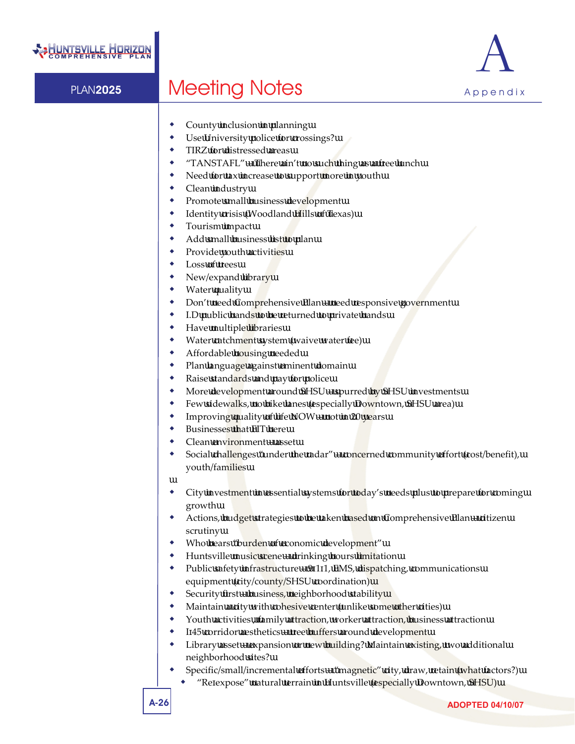

- County inclusion in planning
- Use University police for crossings?
- TIRZ for distressed areas
- "TANSTAFL" There ain't no such thing as a free lunch
- Need for tax increase to support more in youth
- Clean industry
- Promote small business development
- Identity crisis (Woodland Hills of Texas)
- Tourism impact
- Add small business list to plan
- Provide youth activities
- Loss of trees
- New/expand library
- Water quality
- Don't need Comprehensive Plan need responsive government
- I.D public hands to be returned to private hands
- Have multiple libraries
- Water catchment system (waive water fee)
- Affordable housing needed
- Plan language against eminent domain
- Raise standards and pay for police
- More development around SHSU spurred by SHSU investments
- Few sidewalks, no bike lanes (especially Downtown, SHSU area)
- Improving quality of life NOW not in 20 years
- Businesses that FIT here
- Clean environment asset
- Social challenges "under the radar" concerned community effort (cost/benefit), youth/families
- City investment in essential systems for today's needs plus to prepare for coming growth
- Actions, budget strategies to be taken based on Comprehensive Plan citizen scrutiny
- Who bears "burden of economic development"
- Huntsville music scene drinking hours limitation
- Public safety infrastructure  $-9$  1 1, EMS, dispatching, communications equipment (city/county/SHSU coordination)
- Security first business, neighborhood stability
- Maintain a city with cohesive center (unlike some other cities)
- Youth activities, family attraction, worker attraction, business attraction
- I 45 corridor aesthetics tree buffers around development
- Library asset expansion or new building? Maintain existing, two additional neighborhood sites?
- Specific/small/incremental efforts "magnetic" city, draw, retain (what factors?)
	- "Re expose" natural terrain in Huntsville (especially Downtown, SHSU)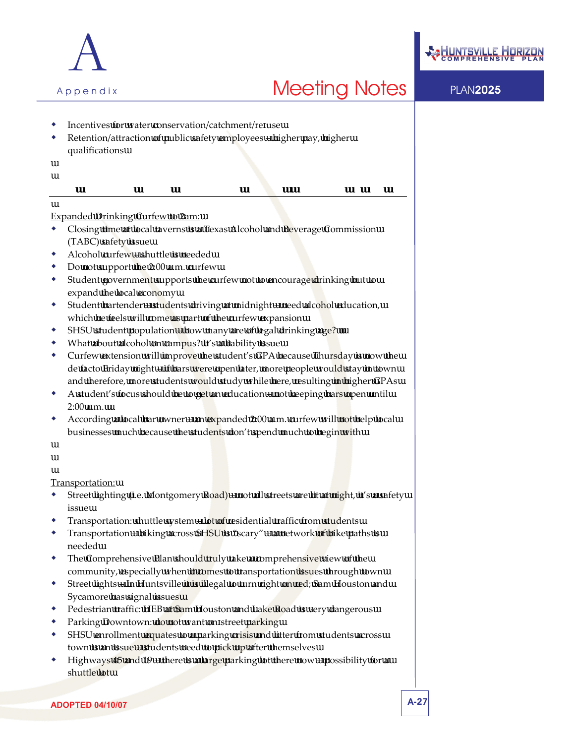



- Incentives for water conservation/catchment/re use
- Retention/attraction of public safety employees higher pay, higher qualifications

### **SAM HOUSTON STATE UNIVERSITY FORUM – OCTOBER 10, 2006**

### Expanded Drinking Curfew to 2am:

- Closing time at local taverns is a Texas Alcohol and Beverage Commission (TABC) safety issue
- Alcohol curfew shuttle is needed
- Do not support the 2:00 a.m. curfew
- Student government supports the curfew not to encourage drinking but to expand the local economy
- Student bartender students driving at midnight need alcohol education, which he feels will come as part of the curfew expansion
- SHSU student population how many are of legal drinking age?
- What about alcohol on campus? It's a liability issue
- Curfew extension will improve the student's GPA because Thursday is now the de facto Friday night – if bars were open later, more people would stay in town and therefore, more students would study while here, resulting in higher GPAs
- A student's focus should be to get an education not keeping bars open until 2:00 a.m.
- According a local bar owner an expanded 2:00 a.m. curfew will not help local businesses much because the students don't spend much to begin with

Transportation:

- Street lighting (i.e. Montgomery Road) not all streets are lit at night, it's a safety issue
- Transportation: shuttle system lot of residential traffic from students
- Transportation biking across SHSU is "scary" a network of bike paths is needed
- The Comprehensive Plan should truly take a comprehensive view of the community, especially when it comes to transportation issues through town
- Street lights In Huntsville it is illegal to turn right on red; Sam Houston and Sycamore has signal issues
- Pedestrian traffic: HEB at Sam Houston and Lake Road is very dangerous
- Parking Downtown: do not want on street parking
- SHSU enrollment equates to a parking crisis and litter from students across town is an issue – students need to pick up after themselves
- Highways 45 and 19 there is a large parking lot there now possibility for a shuttle lot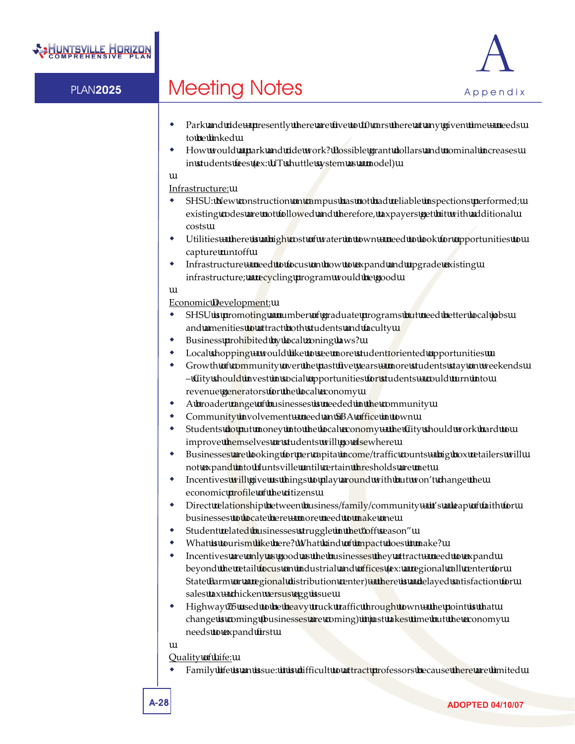

- Park and ride presently there are five to 10 cars there at any given time needs to be linked
- How would a park and ride work? Possible grant dollars and nominal increases in students fees (ex: UT shuttle system as a model)

### Infrastructure:

- SHSU: New construction on campus has not had reliable inspections performed; existing codes are not followed and therefore, taxpayers get hit with additional costs
- Utilities there is a high cost of water in town need to look for opportunities to capture run off
- Infrastructure need to focus on how to expand and upgrade existing infrastructure; a recycling program would be good

#### Economic Development:

- SHSU is promoting a number of graduate programs but need better local jobs and amenities to attract both students and faculty
- Business prohibited by local zoning laws?
- Local shopping would like to see more student oriented opportunities
- Growth of community over the past five years more students stay on weekends – City should invest in social opportunities for students – could turn into revenue generators for the local economy
- A broader range of businesses is needed in the community
- Community involvement need an SBA office in town
- Students do put money into the local economy the City should work hard to improve themselves or students will go elsewhere
- Businesses are looking for per capita income/traffic counts big box retailers will not expand into Huntsville until certain thresholds are met
- Incentives will give us things to play around with but won't change the economic *profile* of the citizens
- Direct relationship between business/family/community it's a leap of faith for businesses to locate here – more need to make one
- Student related businesses struggle in the "off season"
- What is tourism like here? What kind of impact does it make?
- Incentives are only as good as the businesses they attract need to expand beyond the retail focus on industrial and offices (ex: a regional call center for State Farm or a regional distribution center) - there is a delayed satisfaction for sales tax – chicken versus egg issue
- Highway 75 used to be heavy truck traffic through town the point is that change is coming (businesses are coming) it just takes time but the economy needs to expand first

#### Quality of Life:

Family life is an issue: it is difficult to attract professors because there are limited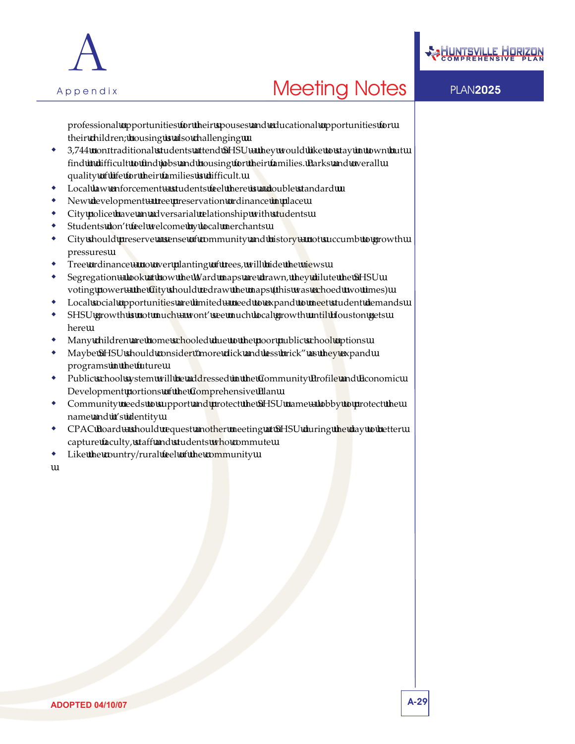



professional opportunities for their spouses and educational opportunities for their children; housing is also challenging

- 3,744 non traditional students attend SHSU they would like to stay in town but find it difficult to find jobs and housing for their families. Parks and overall quality of life for their families is difficult.
- Local law enforcement students feel there is a double standard
- New development tree preservation ordinance in place
- City police have an adversarial relationship with students
- Students don't feel welcome by local merchants
- City should preserve a sense of community and history not succumb to growth pressures
- Tree ordinance no over planting of trees, will hide the views
- Segregation look at how the Ward maps are drawn, they dilute the SHSU voting power – the City should redraw the maps (this was echoed two times)
- Local social opportunities are limited need to expand to meet student demands
- SHSU growth is not much wont' see much local growth until Houston gets here
- Many children are home schooled due to the poor public school options
- Maybe SHSU should consider "more click and less brick" as they expand programs in the future
- Public school system will be addressed in the Community Profile and Economic Development portions of the Comprehensive Plan
- Community needs to support and protect the SHSU name lobby to protect the name and it's identity
- CPAC Board should request another meeting at SHSU during the day to better capture faculty, staff and students who commute
- Like the country/rural feel of the community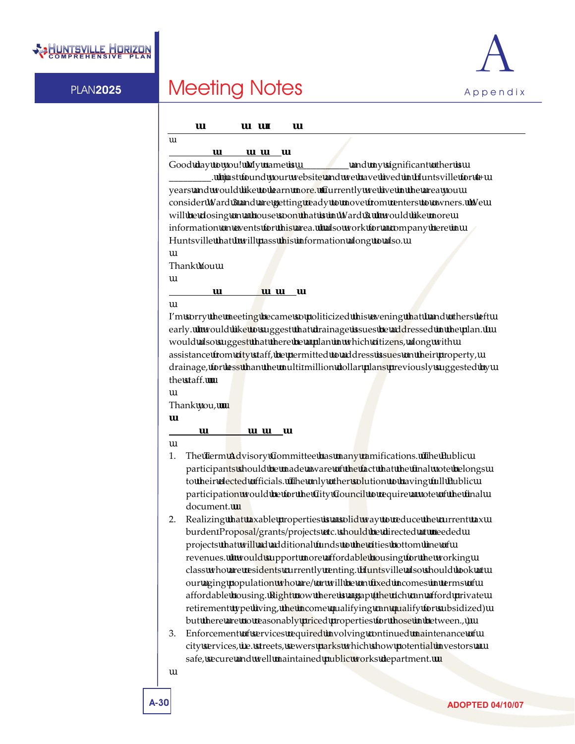

### **Input Received via E Mail**

### **Thursday, August 31, 2006**

Good day to you! My name is \_\_\_\_\_\_\_\_\_\_\_\_\_\_\_\_ and my significant other is \_. I just found your website and we have lived in Huntsville for 4+ years and would like to learn more. Currently we live in the area you consider Ward 3 and are getting ready to move from renters to owners. We will be closing on a house soon that is in Ward 3. I would like more information on events for this area. I also work for a company here in Huntsville that I will pass this information along to also.

Thank You

### **Thursday, September 14, 2006**

I'm sorry the meeting became so politicized this evening that I and others left early. I would like to suggest that drainage issues be addressed in the plan. I would also suggest that there be a plan in which citizens, along with assistance from city staff, be permitted to address issues on their property, drainage, for less than the multi million dollar plans previously suggested by the staff.

Thank you,

### **Friday, September 15, 2006**

- 1. The Term Advisory Committee has many ramifications. The Public participants should be made aware of the fact that the final vote belongs to their elected officials. The only other solution to having full Public participation would be for the City Council to require a vote of the final document.
- 2. Realizing that taxable properties is a solid way to reduce the current tax burden Proposal/grants/projects etc. should be directed at needed projects that will ad additional funds to the cities bottom line of revenues. I would support more affordable housing for the working class who are residents currently renting. Huntsville also should look at our aging population who are/ or will be on fixed incomes in terms of affordable housing. Right now there is a gap (the rich can afford private retirement type living, the income qualifying can qualify for subsidized) but there are no reasonably priced properties for those in between., )
- 3. Enforcement of services required involving continued maintenance of city services, i.e. streets, sewers parks which show potential investors a safe, secure and well maintained public works department.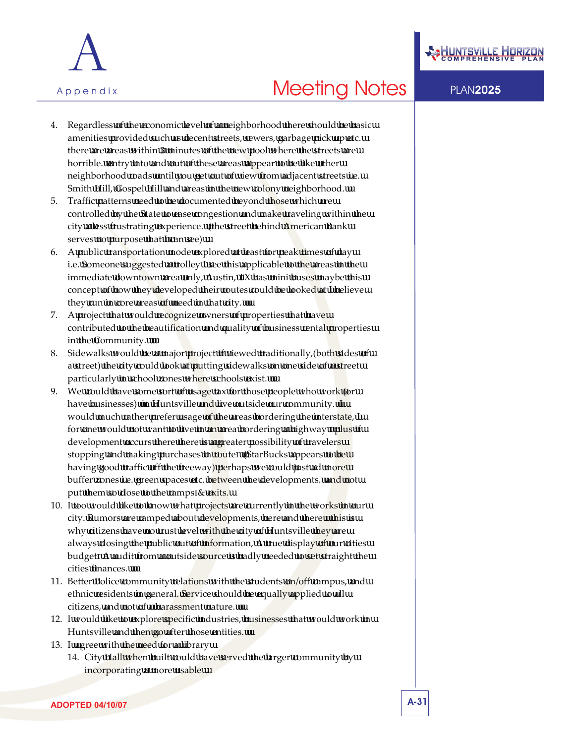



- 4. Regardless of the economic level of a neighborhood there should be basic amenities provided such as decent streets, sewers, garbage pick up etc. there are areas within 3 minutes of the new pool where the streets are horrible. entry into and out of these areas appear to be like other neighborhood roads until you get out of view from adjacent streets i.e. Smith Hill, Gospel Hill and areas in the new colony neighborhood.
- 5. Traffic patterns need to be documented beyond those which are controlled by the State to ease congestion and make traveling within the city a less frustrating experience. (the street behind American Bank serves no purpose that I can see)
- 6. A public transportation mode explored at least for peak times of day i.e. Someone suggested a trolley I see this applicable to the areas in the immediate downtown area only, Austin, TX has mini buses maybe this concept of how they developed their routes could be looked at I believe they run in core areas of need in that city.
- 7. A project that would recognize owners of properties that have contributed to the beautification and quality of business rental properties in the Community.
- 8. Sidewalks would be a major project if viewed traditionally,(both sides of a street) the city could look at putting sidewalks on one side of a street particularly in school zones where schools exist.
- 9. We could have some sort of usage tax for those people who work (or have businesses) in Huntsville and live outside our community. I would much rather prefer usage of the areas bordering the interstate, I for one would not want to live in an area bordering a highway plus if development occurs there there is a greater possibility of travelers stopping and making purchases in route (StarBucks appears to be having good traffic off the freeway) perhaps we could just ad more buffer zones i.e. green spaces etc. between the developments. and not put them so close to the ramps & exits.
- 10. I too would like to know what projects are currently in the works in our city. Rumors are ramped about developments, here and there this is why citizens have no trust level with the city of Huntsville they are always closing the public out of information, A true display of our cities budget A audit from a outside source is badly needed to set straight the cities finances.
- 11. Better Police community relations with the students on/off campus, and ethnic residents in general. Service should be equally applied to all citizens, and not of a harassment nature.
- 12. I would like to explore specific industries, businesses that would work in Huntsville and then go after those entities.
- 13. I agree with the need for a library
	- 14. City Hall when built could have served the larger community by incorporating a more usable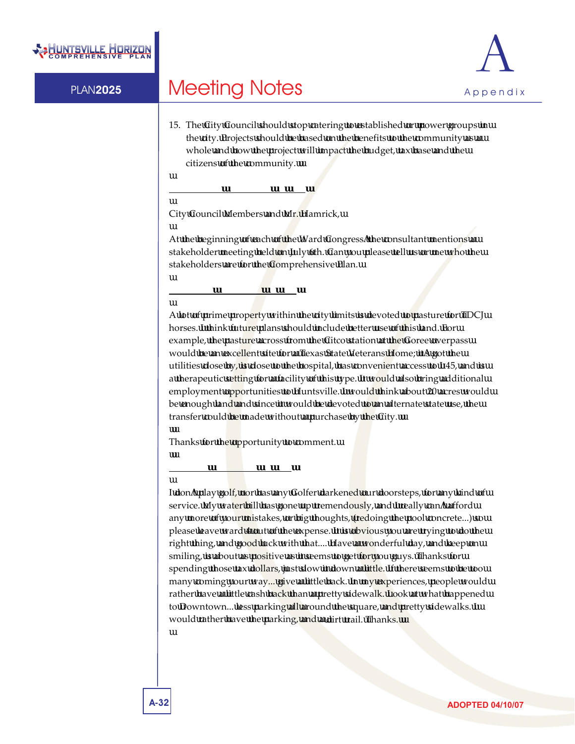



15. The City Council should stop catering to established or power groups in the city. Projects should be based on the benefits to the community as a whole and how the project will impact the budget, tax base and the citizens of the community.

### **Wednesday, September 20, 2006**

City Council Members and Mr. Hamrick,

At the beginning of each of the Ward Congress the consultant mentions a stakeholder meeting held on July 6th. Can you please tell us or me who the stakeholders are for the Comprehensive Plan.

### **Thursday, September 21, 2006**

A lot of prime property within the city limits is devoted to pasture for TDCJ horses. I think future plans should include better use of this land. For example, the pasture across from the Citco station at the Goree overpass would be an excellent site for a Texas State Veterans Home; it s got the utilities close by, is close to the hospital, has convenient access to  $I$  45, and is a therapeutic setting for a facility of this type. It would also bring additional employment opportunities to Huntsville. I would think about 20 acres would be enough land and since it would be devoted to an alternate state use, the transfer could be made without a purchase by the City.

Thanks for the opportunity to comment.

### **Monday, September 25, 2006**

I don t play golf, nor has any Golfer darkened our doorsteps, for any kind of service. My water bill has gone up tremendously, and I really can t afford any more of your mistakes, or big thoughts, (redoing the pool concrete...) so please leave ward 4 out of the expense. It is obvious you are trying to do the right thing, and good luck with that.... Have a wonderful day, and keep on smiling, is about as positive as it seems to get for you guys. Thanks for spending those tax dollars, just slow it down a little. If there seems to be too many coming your way... give a little back. In my experiences, people would rather have a little cash back than a pretty sidewalk. Look at what happened to Downtown... less parking all around the square, and pretty sidewalks. I would rather have the parking, and a dirt trail. Thanks.